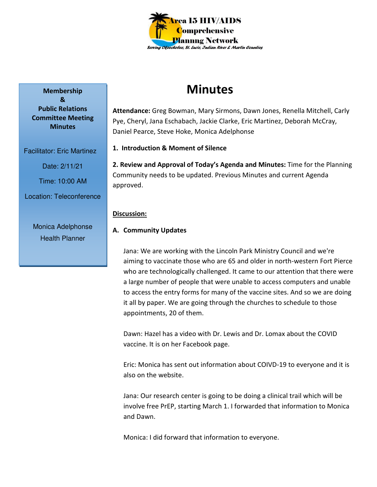

# **Minutes**

**Attendance:** Greg Bowman, Mary Sirmons, Dawn Jones, Renella Mitchell, Carly Pye, Cheryl, Jana Eschabach, Jackie Clarke, Eric Martinez, Deborah McCray, Daniel Pearce, Steve Hoke, Monica Adelphonse

**1. Introduction & Moment of Silence** 

**2. Review and Approval of Today's Agenda and Minutes:** Time for the Planning Community needs to be updated. Previous Minutes and current Agenda approved.

# **Discussion:**

# **A. Community Updates**

Jana: We are working with the Lincoln Park Ministry Council and we're aiming to vaccinate those who are 65 and older in north-western Fort Pierce who are technologically challenged. It came to our attention that there were a large number of people that were unable to access computers and unable to access the entry forms for many of the vaccine sites. And so we are doing it all by paper. We are going through the churches to schedule to those appointments, 20 of them.

Dawn: Hazel has a video with Dr. Lewis and Dr. Lomax about the COVID vaccine. It is on her Facebook page.

Eric: Monica has sent out information about COIVD-19 to everyone and it is also on the website.

Jana: Our research center is going to be doing a clinical trail which will be involve free PrEP, starting March 1. I forwarded that information to Monica and Dawn.

Monica: I did forward that information to everyone.

**Membership & Public Relations Committee Meeting Minutes** 

Facilitator: Eric Martinez Date: 2/11/21

Time: 10:00 AM

Location: Teleconference

Monica Adelphonse Health Planner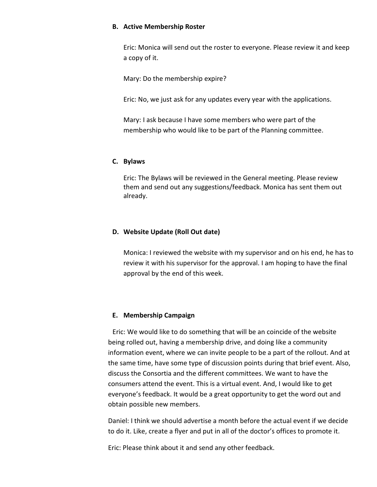## **B. Active Membership Roster**

Eric: Monica will send out the roster to everyone. Please review it and keep a copy of it.

Mary: Do the membership expire?

Eric: No, we just ask for any updates every year with the applications.

Mary: I ask because I have some members who were part of the membership who would like to be part of the Planning committee.

#### **C. Bylaws**

Eric: The Bylaws will be reviewed in the General meeting. Please review them and send out any suggestions/feedback. Monica has sent them out already.

## **D. Website Update (Roll Out date)**

Monica: I reviewed the website with my supervisor and on his end, he has to review it with his supervisor for the approval. I am hoping to have the final approval by the end of this week.

## **E. Membership Campaign**

 Eric: We would like to do something that will be an coincide of the website being rolled out, having a membership drive, and doing like a community information event, where we can invite people to be a part of the rollout. And at the same time, have some type of discussion points during that brief event. Also, discuss the Consortia and the different committees. We want to have the consumers attend the event. This is a virtual event. And, I would like to get everyone's feedback. It would be a great opportunity to get the word out and obtain possible new members.

Daniel: I think we should advertise a month before the actual event if we decide to do it. Like, create a flyer and put in all of the doctor's offices to promote it.

Eric: Please think about it and send any other feedback.